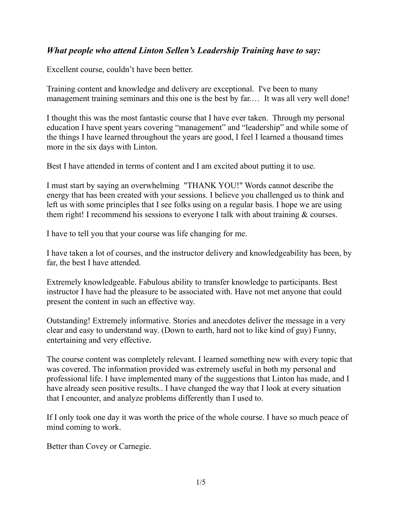## *What people who attend Linton Sellen's Leadership Training have to say:*

Excellent course, couldn't have been better.

Training content and knowledge and delivery are exceptional. I've been to many management training seminars and this one is the best by far.... It was all very well done!

I thought this was the most fantastic course that I have ever taken. Through my personal education I have spent years covering "management" and "leadership" and while some of the things I have learned throughout the years are good, I feel I learned a thousand times more in the six days with Linton.

Best I have attended in terms of content and I am excited about putting it to use.

I must start by saying an overwhelming "THANK YOU!" Words cannot describe the energy that has been created with your sessions. I believe you challenged us to think and left us with some principles that I see folks using on a regular basis. I hope we are using them right! I recommend his sessions to everyone I talk with about training & courses.

I have to tell you that your course was life changing for me.

I have taken a lot of courses, and the instructor delivery and knowledgeability has been, by far, the best I have attended.

Extremely knowledgeable. Fabulous ability to transfer knowledge to participants. Best instructor I have had the pleasure to be associated with. Have not met anyone that could present the content in such an effective way.

Outstanding! Extremely informative. Stories and anecdotes deliver the message in a very clear and easy to understand way. (Down to earth, hard not to like kind of guy) Funny, entertaining and very effective.

The course content was completely relevant. I learned something new with every topic that was covered. The information provided was extremely useful in both my personal and professional life. I have implemented many of the suggestions that Linton has made, and I have already seen positive results.. I have changed the way that I look at every situation that I encounter, and analyze problems differently than I used to.

If I only took one day it was worth the price of the whole course. I have so much peace of mind coming to work.

Better than Covey or Carnegie.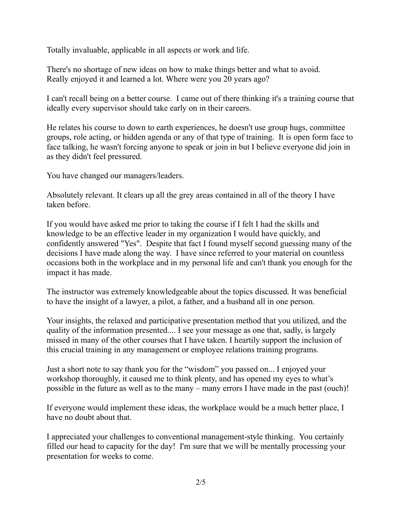Totally invaluable, applicable in all aspects or work and life.

There's no shortage of new ideas on how to make things better and what to avoid. Really enjoyed it and learned a lot. Where were you 20 years ago?

I can't recall being on a better course. I came out of there thinking it's a training course that ideally every supervisor should take early on in their careers.

He relates his course to down to earth experiences, he doesn't use group hugs, committee groups, role acting, or hidden agenda or any of that type of training. It is open form face to face talking, he wasn't forcing anyone to speak or join in but I believe everyone did join in as they didn't feel pressured.

You have changed our managers/leaders.

Absolutely relevant. It clears up all the grey areas contained in all of the theory I have taken before.

If you would have asked me prior to taking the course if I felt I had the skills and knowledge to be an effective leader in my organization I would have quickly, and confidently answered "Yes". Despite that fact I found myself second guessing many of the decisions I have made along the way. I have since referred to your material on countless occasions both in the workplace and in my personal life and can't thank you enough for the impact it has made.

The instructor was extremely knowledgeable about the topics discussed. It was beneficial to have the insight of a lawyer, a pilot, a father, and a husband all in one person.

Your insights, the relaxed and participative presentation method that you utilized, and the quality of the information presented.... I see your message as one that, sadly, is largely missed in many of the other courses that I have taken. I heartily support the inclusion of this crucial training in any management or employee relations training programs.

Just a short note to say thank you for the "wisdom" you passed on... I enjoyed your workshop thoroughly, it caused me to think plenty, and has opened my eyes to what's possible in the future as well as to the many – many errors I have made in the past (ouch)!

If everyone would implement these ideas, the workplace would be a much better place, I have no doubt about that.

I appreciated your challenges to conventional management-style thinking. You certainly filled our head to capacity for the day! I'm sure that we will be mentally processing your presentation for weeks to come.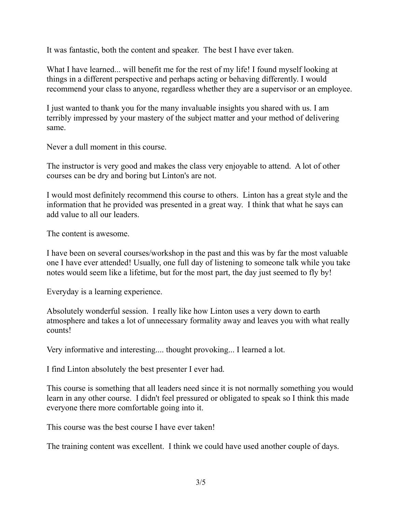It was fantastic, both the content and speaker. The best I have ever taken.

What I have learned... will benefit me for the rest of my life! I found myself looking at things in a different perspective and perhaps acting or behaving differently. I would recommend your class to anyone, regardless whether they are a supervisor or an employee.

I just wanted to thank you for the many invaluable insights you shared with us. I am terribly impressed by your mastery of the subject matter and your method of delivering same.

Never a dull moment in this course.

The instructor is very good and makes the class very enjoyable to attend. A lot of other courses can be dry and boring but Linton's are not.

I would most definitely recommend this course to others. Linton has a great style and the information that he provided was presented in a great way. I think that what he says can add value to all our leaders.

The content is awesome.

I have been on several courses/workshop in the past and this was by far the most valuable one I have ever attended! Usually, one full day of listening to someone talk while you take notes would seem like a lifetime, but for the most part, the day just seemed to fly by!

Everyday is a learning experience.

Absolutely wonderful session. I really like how Linton uses a very down to earth atmosphere and takes a lot of unnecessary formality away and leaves you with what really counts!

Very informative and interesting.... thought provoking... I learned a lot.

I find Linton absolutely the best presenter I ever had.

This course is something that all leaders need since it is not normally something you would learn in any other course. I didn't feel pressured or obligated to speak so I think this made everyone there more comfortable going into it.

This course was the best course I have ever taken!

The training content was excellent. I think we could have used another couple of days.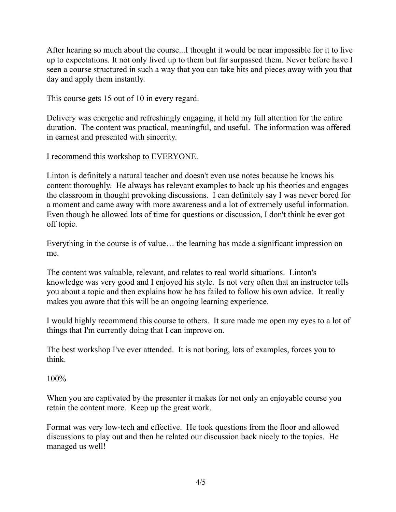After hearing so much about the course...I thought it would be near impossible for it to live up to expectations. It not only lived up to them but far surpassed them. Never before have I seen a course structured in such a way that you can take bits and pieces away with you that day and apply them instantly.

This course gets 15 out of 10 in every regard.

Delivery was energetic and refreshingly engaging, it held my full attention for the entire duration. The content was practical, meaningful, and useful. The information was offered in earnest and presented with sincerity.

I recommend this workshop to EVERYONE.

Linton is definitely a natural teacher and doesn't even use notes because he knows his content thoroughly. He always has relevant examples to back up his theories and engages the classroom in thought provoking discussions. I can definitely say I was never bored for a moment and came away with more awareness and a lot of extremely useful information. Even though he allowed lots of time for questions or discussion, I don't think he ever got off topic.

Everything in the course is of value… the learning has made a significant impression on me.

The content was valuable, relevant, and relates to real world situations. Linton's knowledge was very good and I enjoyed his style. Is not very often that an instructor tells you about a topic and then explains how he has failed to follow his own advice. It really makes you aware that this will be an ongoing learning experience.

I would highly recommend this course to others. It sure made me open my eyes to a lot of things that I'm currently doing that I can improve on.

The best workshop I've ever attended. It is not boring, lots of examples, forces you to think.

100%

When you are captivated by the presenter it makes for not only an enjoyable course you retain the content more. Keep up the great work.

Format was very low-tech and effective. He took questions from the floor and allowed discussions to play out and then he related our discussion back nicely to the topics. He managed us well!